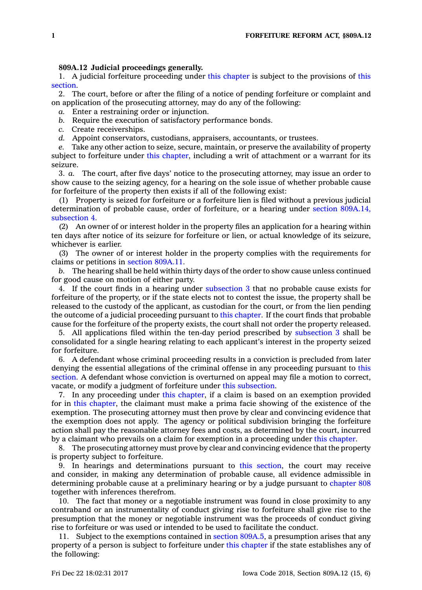## **809A.12 Judicial proceedings generally.**

1. A judicial forfeiture proceeding under this [chapter](https://www.legis.iowa.gov/docs/code//809A.pdf) is subject to the provisions of [this](https://www.legis.iowa.gov/docs/code/809A.12.pdf) [section](https://www.legis.iowa.gov/docs/code/809A.12.pdf).

2. The court, before or after the filing of <sup>a</sup> notice of pending forfeiture or complaint and on application of the prosecuting attorney, may do any of the following:

- *a.* Enter <sup>a</sup> restraining order or injunction.
- *b.* Require the execution of satisfactory performance bonds.
- *c.* Create receiverships.
- *d.* Appoint conservators, custodians, appraisers, accountants, or trustees.

*e.* Take any other action to seize, secure, maintain, or preserve the availability of property subject to forfeiture under this [chapter](https://www.legis.iowa.gov/docs/code//809A.pdf), including <sup>a</sup> writ of attachment or <sup>a</sup> warrant for its seizure.

3. *a.* The court, after five days' notice to the prosecuting attorney, may issue an order to show cause to the seizing agency, for <sup>a</sup> hearing on the sole issue of whether probable cause for forfeiture of the property then exists if all of the following exist:

(1) Property is seized for forfeiture or <sup>a</sup> forfeiture lien is filed without <sup>a</sup> previous judicial determination of probable cause, order of forfeiture, or <sup>a</sup> hearing under section [809A.14,](https://www.legis.iowa.gov/docs/code/809A.14.pdf) [subsection](https://www.legis.iowa.gov/docs/code/809A.14.pdf) 4.

(2) An owner of or interest holder in the property files an application for <sup>a</sup> hearing within ten days after notice of its seizure for forfeiture or lien, or actual knowledge of its seizure, whichever is earlier.

(3) The owner of or interest holder in the property complies with the requirements for claims or petitions in section [809A.11](https://www.legis.iowa.gov/docs/code/809A.11.pdf).

*b.* The hearing shall be held within thirty days of the order to show cause unless continued for good cause on motion of either party.

4. If the court finds in <sup>a</sup> hearing under [subsection](https://www.legis.iowa.gov/docs/code/809A.12.pdf) 3 that no probable cause exists for forfeiture of the property, or if the state elects not to contest the issue, the property shall be released to the custody of the applicant, as custodian for the court, or from the lien pending the outcome of <sup>a</sup> judicial proceeding pursuant to this [chapter](https://www.legis.iowa.gov/docs/code//809A.pdf). If the court finds that probable cause for the forfeiture of the property exists, the court shall not order the property released.

5. All applications filed within the ten-day period prescribed by [subsection](https://www.legis.iowa.gov/docs/code/809A.12.pdf) 3 shall be consolidated for <sup>a</sup> single hearing relating to each applicant's interest in the property seized for forfeiture.

6. A defendant whose criminal proceeding results in <sup>a</sup> conviction is precluded from later denying the essential allegations of the criminal offense in any proceeding pursuant to [this](https://www.legis.iowa.gov/docs/code/809A.12.pdf) [section](https://www.legis.iowa.gov/docs/code/809A.12.pdf). A defendant whose conviction is overturned on appeal may file <sup>a</sup> motion to correct, vacate, or modify <sup>a</sup> judgment of forfeiture under this [subsection](https://www.legis.iowa.gov/docs/code/809A.12.pdf).

7. In any proceeding under this [chapter](https://www.legis.iowa.gov/docs/code//809A.pdf), if <sup>a</sup> claim is based on an exemption provided for in this [chapter](https://www.legis.iowa.gov/docs/code//809A.pdf), the claimant must make <sup>a</sup> prima facie showing of the existence of the exemption. The prosecuting attorney must then prove by clear and convincing evidence that the exemption does not apply. The agency or political subdivision bringing the forfeiture action shall pay the reasonable attorney fees and costs, as determined by the court, incurred by <sup>a</sup> claimant who prevails on <sup>a</sup> claim for exemption in <sup>a</sup> proceeding under this [chapter](https://www.legis.iowa.gov/docs/code//809A.pdf).

8. The prosecuting attorney must prove by clear and convincing evidence that the property is property subject to forfeiture.

9. In hearings and determinations pursuant to this [section](https://www.legis.iowa.gov/docs/code/809A.12.pdf), the court may receive and consider, in making any determination of probable cause, all evidence admissible in determining probable cause at <sup>a</sup> preliminary hearing or by <sup>a</sup> judge pursuant to [chapter](https://www.legis.iowa.gov/docs/code//808.pdf) 808 together with inferences therefrom.

10. The fact that money or <sup>a</sup> negotiable instrument was found in close proximity to any contraband or an instrumentality of conduct giving rise to forfeiture shall give rise to the presumption that the money or negotiable instrument was the proceeds of conduct giving rise to forfeiture or was used or intended to be used to facilitate the conduct.

11. Subject to the exemptions contained in section [809A.5](https://www.legis.iowa.gov/docs/code/809A.5.pdf), <sup>a</sup> presumption arises that any property of <sup>a</sup> person is subject to forfeiture under this [chapter](https://www.legis.iowa.gov/docs/code//809A.pdf) if the state establishes any of the following: